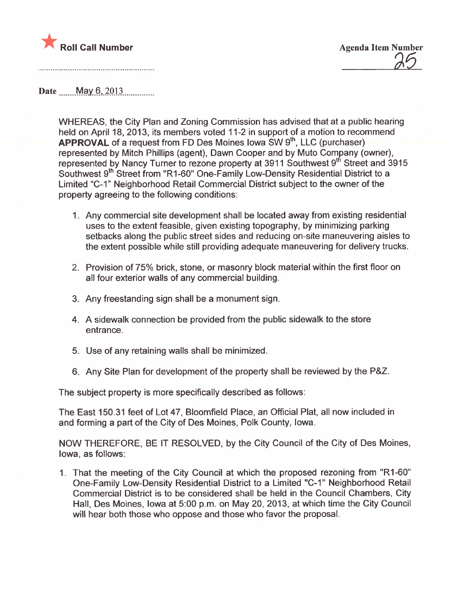

Date  $\text{May } 6, 2013$ 

WHEREAS, the City Plan and Zoning Commission has advised that at a public hearing held on April 18, 2013, its members voted 11-2 in support of a motion to recommend APPROVAL of a request from FD Des Moines Iowa SW 9th, LLC (purchaser) represented by Mitch Phillips (agent), Dawn Cooper and by Muto Company (owner), represented by Nancy Turner to rezone property at 3911 Southwest 9<sup>th</sup> Street and 3915 Southwest 9<sup>th</sup> Street from "R1-60" One-Family Low-Density Residential District to a Limited "C-1" Neighborhood Retail Commercial District subject to the owner of the property agreeing to the following conditions:

- 1. Any commercial site development shall be located away from existing residential uses to the extent feasible, given existing topography, by minimizing parking setbacks along the public street sides and reducing on-site maneuvering aisles to the extent possible while still providing adequate maneuvering for delivery trucks.
- 2. Provision of 75% brick, stone, or masonry block material within the first floor on all four exterior walls of any commercial building.
- 3. Any freestanding sign shall be a monument sign.
- 4. A sidewalk connection be provided from the public sidewalk to the store entrance.
- 5. Use of any retaining walls shall be minimized.
- 6. Any Site Plan for development of the property shall be reviewed by the P&Z.

The subject property is more specifically described as follows:

The East 150.31 feet of Lot 47, Bloomfield Place, an Official Plat, all now included in and forming a part of the City of Des Moines, Polk County, Iowa.

NOW THEREFORE, BE IT RESOLVED, by the City Council of the City of Des Moines, Iowa, as follows:

1. That the meeting of the City Council at which the proposed rezoning from "R 1-60" One-Family Low-Density Residential District to a Limited "C-1" Neighborhood Retail Commercial District is to be considered shall be held in the Council Chambers, City Hall, Des Moines, Iowa at 5:00 p.m. on May 20, 2013, at which time the City Council will hear both those who oppose and those who favor the proposal.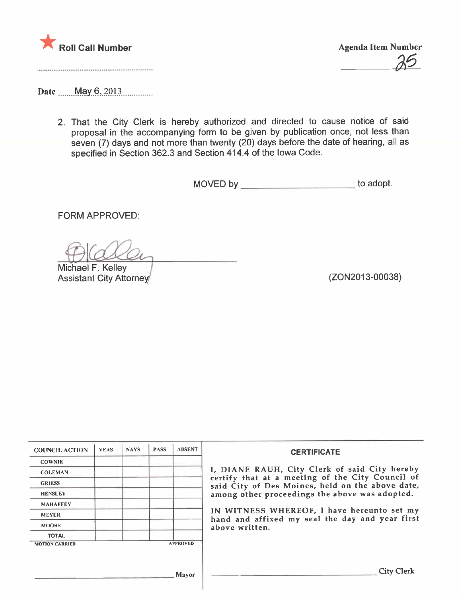

a6

Date ......MaY.9,.2.QJJ...........\_\_

2. That the City Clerk is hereby authorized and directed to cause notice of said proposal in the accompanying form to be given by publication once, not less than seven (7) days and not more than twenty (20) days before the date of hearing, all as specified in Section 362.3 and Section 414.4 of the Iowa Code.

MOVED by \_\_\_\_\_\_\_\_\_\_\_\_\_\_\_\_\_\_\_\_\_\_\_\_\_\_\_\_\_ to adopt.

FORM APPROVED:

Michael F. Kelley

Assistant City Attorney (2002013-00038)

| <b>COUNCIL ACTION</b> | <b>YEAS</b> | <b>NAYS</b> | <b>PASS</b> | <b>ABSENT</b>   | <b>CERTIFICATE</b>                                                                                   |
|-----------------------|-------------|-------------|-------------|-----------------|------------------------------------------------------------------------------------------------------|
| <b>COWNIE</b>         |             |             |             |                 |                                                                                                      |
| <b>COLEMAN</b>        |             |             |             |                 | I, DIANE RAUH, City Clerk of said City hereby                                                        |
| <b>GRIESS</b>         |             |             |             |                 | certify that at a meeting of the City Council of<br>said City of Des Moines, held on the above date, |
| <b>HENSLEY</b>        |             |             |             |                 | among other proceedings the above was adopted.                                                       |
| <b>MAHAFFEY</b>       |             |             |             |                 |                                                                                                      |
| <b>MEYER</b>          |             |             |             |                 | IN WITNESS WHEREOF, I have hereunto set my<br>hand and affixed my seal the day and year first        |
| <b>MOORE</b>          |             |             |             |                 | above written.                                                                                       |
| <b>TOTAL</b>          |             |             |             |                 |                                                                                                      |
| <b>MOTION CARRIED</b> |             |             |             | <b>APPROVED</b> |                                                                                                      |
|                       |             |             |             |                 |                                                                                                      |
|                       |             |             |             | <b>Mayor</b>    | <b>City Clerk</b>                                                                                    |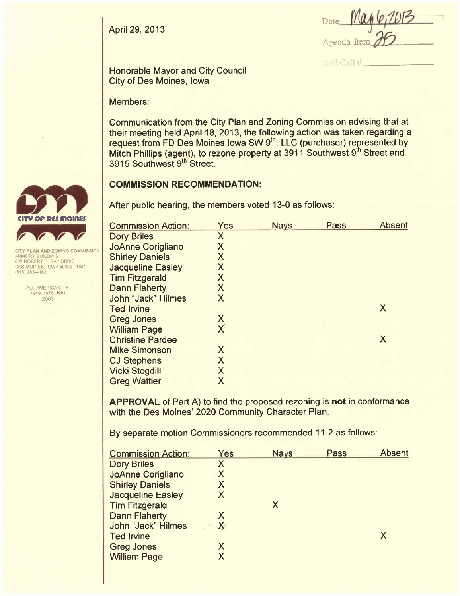April 29, 2013

Date Agenda Iter

Roll Call #

Honorable Mayor and City Council City of Des Moines, Iowa

Members:

Communication from the City Plan and Zoning Commission advising that at their meeting held April 18, 2013, the following action was taken regarding a request from FD Des Moines Iowa SW 9<sup>th</sup>, LLC (purchaser) represented by Mitch Phillips (agent), to rezone property at 3911 Southwest 9<sup>th</sup> Street and 3915 Southwest 9<sup>th</sup> Street.

# COMMISSION RECOMMENDATION:

After public hearing, the members voted 13-0 as follows:

| <b>Commission Action:</b> | Yes                       | <b>Nays</b> | <b>Pass</b> | <b>Absent</b> |
|---------------------------|---------------------------|-------------|-------------|---------------|
| <b>Dory Briles</b>        | X                         |             |             |               |
| <b>JoAnne Corigliano</b>  | X                         |             |             |               |
| <b>Shirley Daniels</b>    | $\sf X$                   |             |             |               |
| <b>Jacqueline Easley</b>  | X                         |             |             |               |
| <b>Tim Fitzgerald</b>     | X                         |             |             |               |
| <b>Dann Flaherty</b>      | X                         |             |             |               |
| <b>John "Jack" Hilmes</b> | X                         |             |             |               |
| <b>Ted Irvine</b>         |                           |             |             | X             |
| <b>Greg Jones</b>         |                           |             |             |               |
| <b>William Page</b>       | $\frac{x}{x}$             |             |             |               |
| <b>Christine Pardee</b>   |                           |             |             | X             |
| <b>Mike Simonson</b>      | X                         |             |             |               |
| <b>CJ Stephens</b>        | $\boldsymbol{\mathsf{X}}$ |             |             |               |
| <b>Vicki Stogdill</b>     | X                         |             |             |               |
| <b>Greg Wattier</b>       | X                         |             |             |               |
|                           |                           |             |             |               |

APPROVAL of Part A) to find the proposed rezoning is not in conformance with the Des Moines' 2020 Community Character Plan.

By separate motion Commissioners recommended 11-2 as follows:

| Yes          | <b>Nays</b> | Pass | <b>Absent</b> |
|--------------|-------------|------|---------------|
| Χ            |             |      |               |
| X            |             |      |               |
| X            |             |      |               |
| X            |             |      |               |
|              | X           |      |               |
| X            |             |      |               |
| $\mathsf{X}$ |             |      |               |
|              |             |      | X             |
| Χ            |             |      |               |
| Х            |             |      |               |
|              |             |      |               |



**CITY PLAN AND ZONING COMMISSION** ARMORY BUILDING 602 ROBERT D, RAY DRIVE DES MOINES, IOWA 50309-1881 (515) 283-4182

> ALL-AMERICA CITY 1949,1976,1981 2003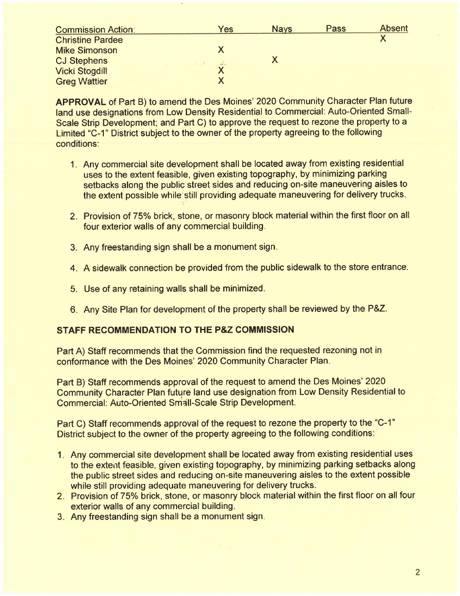| <b>Commission Action:</b> | Yes           | <b>Nays</b> | Pass | <b>Absent</b> |
|---------------------------|---------------|-------------|------|---------------|
| <b>Christine Pardee</b>   |               |             |      |               |
| <b>Mike Simonson</b>      |               |             |      |               |
| <b>CJ Stephens</b>        | $\sim$ $\sim$ |             |      |               |
| <b>Vicki Stogdill</b>     | ⋏             |             |      |               |
| <b>Greg Wattier</b>       |               |             |      |               |

APPROVAL of Part B) to amend the Des Moines' 2020 Community Character Plan future land use designations from Low Density Residential to Commercial: Auto-Oriented Small-Scale Strip Development; and Part C) to approve the request to rezone the property to a Limited "C-1" District subject to the owner of the property agreeing to the following conditions:

- 1. Any commercial site development shall be located away from existing residential uses to the extent feasible, given existing topography, by minimizing parking setbacks along the public street sides and reducing on-site maneuvering aisles to the extent possible while still providing adequate maneuvering for delivery trucks.
- 2. Provision of 75% brick, stone, or masonry block material within the first floor on all four exterior walls of any commercial building.
- 3. Any freestanding sign shall be a monument sign.
- 4. A sidewalk connection be provided'from the public sidewalk to the store entrance.
- 5. Use of any retaining walls shall be minimized.
- 6. Any Site Plan for development of the property shall be reviewed by the P&Z.

# STAFF RECOMMENDATION TO THE P&Z COMMISSION

Part A) Staff recommends that the Commission find the requested rezoning not in conformance with the Des Moines' 2020 Community Character Plan.

Part B) Staff recommends approval of the request to amend the Des Moines' 2020 Community Character Plan future land use designation from Low Density Residential to Commercial: Auto-Oriented Small-Scale Strip Development.

Part C) Staff recommends approval of the request to rezone the property to the "C-1" District subject to the owner of the property agreeing to the following conditions:

- 1. Any commercial site development shall be located away from existing residential uses to the extent feasible, given existing topography, by minimizing parking setbacks along the public street sides and reducing on-site maneuvering aisles to the extent possible while still providing adequate maneuvering for delivery trucks.
- 2. Provision of 75% brick, stone, or masonry block material within the first floor on all four exterior walls of any commercial building.
- 3. Any freestanding sign shall be a monument sign.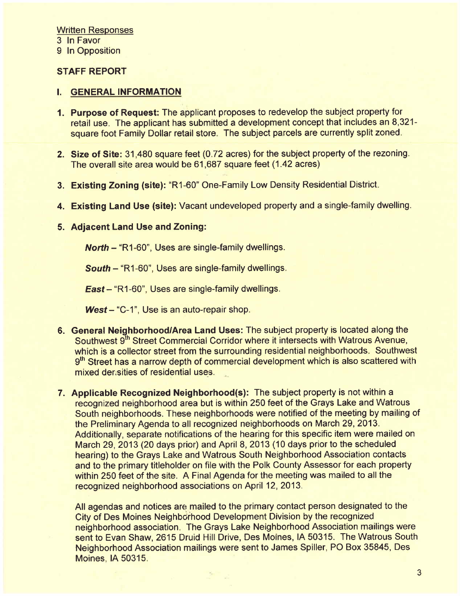9 In Opposition

# STAFF REPORT

#### i. GENERAL INFORMATION

- 1. Purpose of Request: The applicant proposes to redevelop the subject property for retail use. The applicant has submitted a development concept that includes an 8,321 square foot Family Dollar retail store. The subject parcels are currently split zoned.
- 2. Size of Site: 31,480 square feet (0.72 acres) for the subject property of the rezoning. The overall site area would be 61,687 square feet (1.42 acres)
- 3. Existing Zoning (site): "R1-60" One-Family Low Density Residential District.
- 4. Existing Land Use (site): Vacant undeveloped property and a single-family dwelling.

#### 5. Adjacent Land Use and Zoning:

North - "R 1-60", Uses are single-family dwellings.

South - "R1-60", Uses are single-family dwellings.

East - "R1-60", Uses are single-family dwellings.

West- "C-1", Use is an auto-repair shop.

- 6. General Neighborhood/Area Land Uses: The subject property is located along the Southwest 9<sup>th</sup> Street Commercial Corridor where it intersects with Watrous Avenue, which is a collector street from the surrounding residential neighborhoods. Southwest 9<sup>th</sup> Street has a narrow depth of commercial development which is also scattered with mixed derasities of residential uses.
- 7. Applicable Recognized Neighborhood(s): The subject property is not within a recognized neighborhood area but is within 250 feet of the Grays Lake and Watrous South neighborhoods. These neighborhoods were notified of the meeting by mailing of the Preliminary Agenda to all recognized neighborhoods on March 29, 2013. Additionally, separate notifications of the hearing for this specific item were mailed on March 29, 2013 (20 days prior) and April 8, 2013 (10 days prior to the scheduled hearing) to the Grays Lake and Watrous South Neighborhood Association contacts and to the primary titleholder on file with the Polk County Assessor for each property within 250 feet of the site. A Final Agenda for the meeting was mailed to all the recognized neighborhood associations on April 12, 2013.

All agendas and notices are mailed to the primary contact person designated to the City of Des Moines Neighborhood Development Division by the recognized neighborhood association. The Grays Lake Neighborhood Association mailings were sent to Evan Shaw, 2615 Druid Hill Drive, Des Moines, IA 50315. The Watrous South Neighborhood Association mailings were sent to James Spiler, PO Box 35845, Des Moines, IA 50315.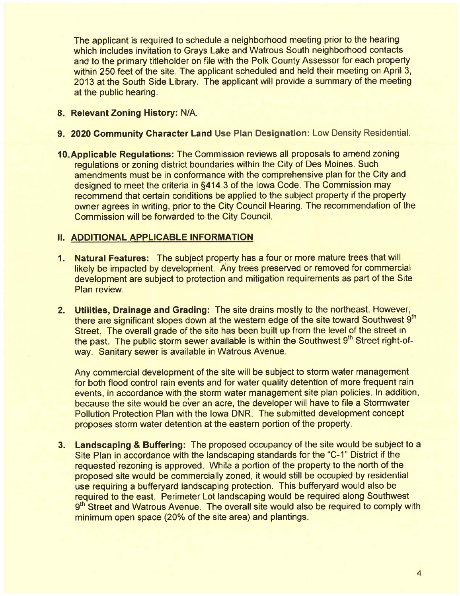The applicant is required to schedule a neighborhood meeting prior to the hearing which includes invitation to Grays Lake and Watrous South neighborhood contacts and to the primary titleholder on file with the Polk County Assessor for each property within 250 feet of the site. The applicant scheduled and held their meeting on April 3, 2013 at the South Side Library. The applicant wil provide a summary of the meeting at the public hearing.

- 8. Relevant Zoning History: N/A.
- 9. 2020 Community Character Land Use Plan Designation: Low Density Residential.
- 10.Applicable Regulations: The Commission reviews all proposals to amend zoning regulations or zoning district boundaries within the City of Des Moines. Such amendments must be in conformance with the comprehensive plan for the City and designed to meet the criteria in §414.3 of the Iowa Code. The Commission may recommend that certain conditions be applied to the subject property if the property owner agrees in writing, prior to the City Council Hearing. The recommendation of the Commission will be forwarded to the City CounciL.

## II. ADDITIONAL APPLICABLE INFORMATION

- 1. Natural Features: The subject property has a four or more mature trees that will likely be impacted by development. Any trees preserved or removed for commercial development are subject to protection and mitigation requirements as part of the Site Plan review.
- 2. Utilities, Drainage and Grading: The site drains mostly to the northeast. However, there are significant slopes down at the western edge of the site toward Southwest 9<sup>th</sup> Street. The overall grade of the site has been built up from the level of the street in the past. The public storm sewer available is within the Southwest 9<sup>th</sup> Street right-ofway. Sanitary sewer is available in Watrous Avenue.

Any commercial development of the site will be subject to storm water management for both flood control rain events and for water quality detention of more frequent rain events, in accordance with the storm water management site plan policies. In addition, because the site would be over an acre, the developer will have to file a Stormwater Pollution Protection Plan with the Iowa DNR. The submitted development concept proposes storm water detention at the eastern portion of the property.

3. Landscaping & Buffering: The proposed occupancy of the site would be subject to a Site Plan in accordance with the landscaping standards for the "C-1" District if the requested rezoning is approved. While a portion of the property to the north of the proposed site would be commercially zoned, it would still be occupied by residential use requiring a bufferyard landscaping protection. This bufferyard would also be required to the east. Perimeter Lot landscaping would be required along Southwest 9<sup>th</sup> Street and Watrous Avenue. The overall site would also be required to comply with minimum open space (20% of the site area) and plantings.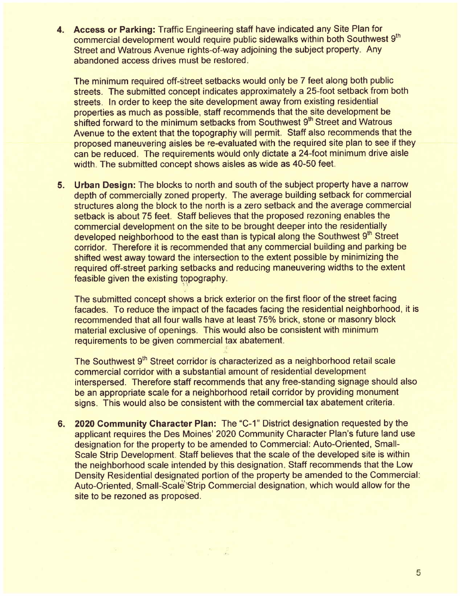4. Access or Parking: Traffic Engineering staff have indicated any Site Plan for commercial development would require public sidewalks within both Southwest 9<sup>th</sup> Street and Watrous Avenue rights-of-way adjoining the subject property. Any abandoned access drives must be restored.

The minimum required off-street setbacks would only be 7 feet along both public streets. The submitted concept indicates approximately a 25-foot setback from both streets. In order to keep the site development away from existing residential properties as much as possible, staff recommends that the site development be shifted forward to the minimum setbacks from Southwest 9<sup>th</sup> Street and Watrous Avenue to the extent that the topography will permit. Staff also recommends that the proposed maneuvering aisles be re-evaluated with the required site plan to see if they can be reduced. The requirements would only dictate a 24-foot minimum drive aisle width. The submitted concept shows aisles as wide as 40-50 feet.

5. Urban Design: The blocks to north and south of the subject property have a narrow depth of commercially zoned property. The average building setback for commercial structures along the block to the north is a zero setback and the average commercial setback is about 75 feet. Staff believes that the proposed rezoning enables the commercial development on the site to be brought deeper into the residentially developed neighborhood to the east than is typical along the Southwest 9<sup>th</sup> Street corridor. Therefore it is recommended that any commercial building and parking be shifted west away toward the intersection to the extent possible by minimizing the required off-street parking setbacks and reducing maneuvering widths to the extent feasible given the existing topography.

 $^{+1}$ 

The submitted concept shows a brick exterior on the first floor of the street facing facades. To reduce the impact of the facades facing the residential neighborhood, it is recommended that all four walls have at least 75% brick, stone or masonry block material exclusive of openings. This would also be consistent with minimum requirements to be given commercial tax abatement.

The Southwest 9<sup>th</sup> Street corridor is characterized as a neighborhood retail scale commercial corridor with a substantial amount of residential development interspersed. Therefore staff recommends that any free-standing signage should also be an appropriate scale for a neighborhood retail corridor by providing monument signs. This would also be consistent with the commercial tax abatement criteria.

6. 2020 Community Character Plan: The "C\_1" District designation requested by the applicant requires the Des Moines' 2020 Community Character Plan's future land use designation for the property to be amended to Commercial: Auto-Oriented, Small-Scale Strip Development. Staff believes that the scale of the developed site is within the neighborhood scale intended by this designation. Staff recommends that the Low Density Residential designated portion of the property be amended to the Commercial: Auto-Oriented, Small-Scale Strip Commercial designation, which would allow for the site to be rezoned as proposed.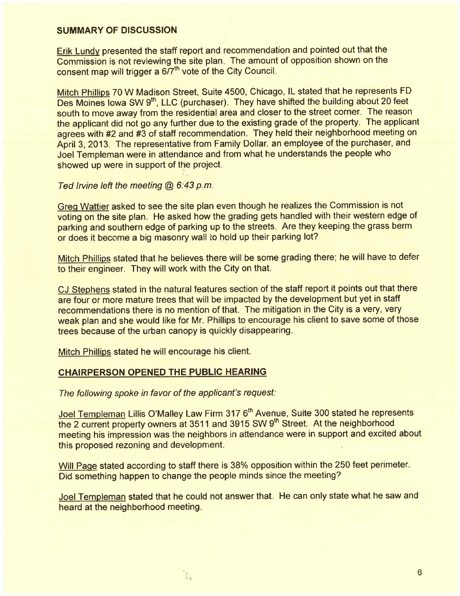## SUMMARY OF DISCUSSION

Erik Lundv presented the staff report and recommendation and pointed out that the Commission is not reviewing the site plan. The amount of opposition shown on the consent map will trigger a  $6/7<sup>th</sup>$  vote of the City Council.

Mitch Philips 70 W Madison Street, Suite 4500, Chicago, IL stated that he represents FD Des Moines Iowa SW 9<sup>th</sup>, LLC (purchaser). They have shifted the building about 20 feet south to move away from the residential area and closer to the street corner. The reason the applicant did not go any further due to the existing grade of the property. The applicant agrees with #2 and #3 of staff recommendation. They held their neighborhood meeting on April 3, 2013. The representative from Family Dollar, an employee of the purchaser, and Joel Templeman were in attendance and from what he understands the people who showed up were in support of the project.

#### Ted Irvine left the meeting  $@$  6:43 p.m.

Greo Wattier asked to see the site plan even though he realizes the Commission is not voting on the site plan. He asked how the grading gets handled with their western edge of parking and southern edge of parking up to the streets. Are they keeping the grass berm or does it become a big masonry wall to hold up their parking lot?

Mitch Phillips stated that he believes there will be some grading there; he will have to defer to their engineer. They will work with the City on that.

CJ Stephens stated in the natural features section of the staff report it points out that there are four or more mature trees that will be impacted by the development but yet in staff recommendations there is no mention of that. The mitigation in the City is a very, very weak plan and she would like for Mr. Phillips to encourage his client to save some of those trees because of the urban canopy is quickly disappearing.

Mitch Phillips stated he will encourage his client.

## CHAIRPERSON OPENED THE PUBLIC HEARING

The following spoke in favor of the applicant's request:

 $\mathcal{L}_{\mathcal{A}}$ 

Joel Templeman Lillis O'Malley Law Firm 317 6<sup>th</sup> Avenue, Suite 300 stated he represents the 2 current property owners at 3511 and 3915 SW 9<sup>th</sup> Street. At the neighborhood meeting his impression was the neighbors in attendance were in support and excited about this proposed rezoning and development.

Will Page stated according to staff there is 38% opposition within the 250 feet perimeter. Did something happen to change the people minds since the meeting?

Joel Templeman stated that he could not answer that. He can only state what he saw and heard at the neighborhood meeting.